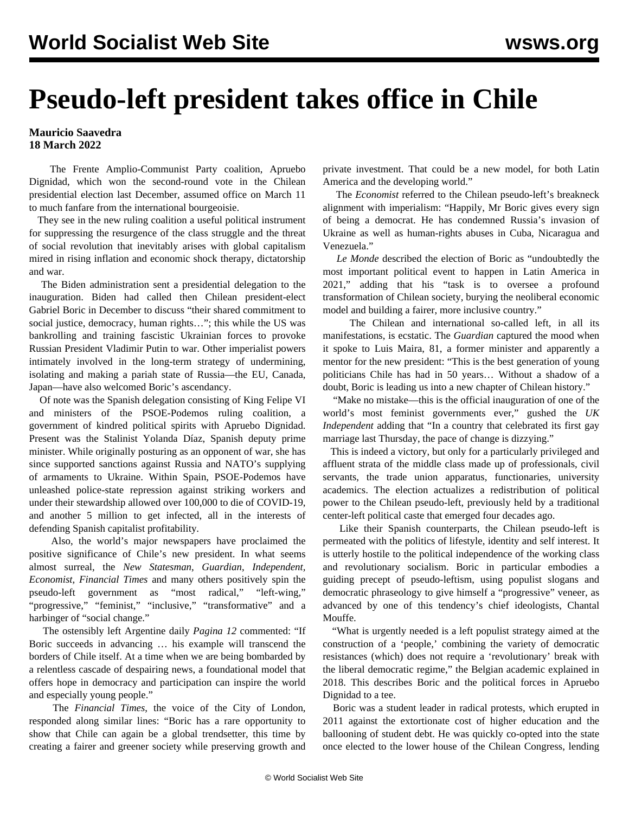## **Pseudo-left president takes office in Chile**

**Mauricio Saavedra 18 March 2022**

 The Frente Amplio-Communist Party coalition, Apruebo Dignidad, which won the second-round vote in the Chilean presidential election last December, assumed office on March 11 to much fanfare from the international bourgeoisie.

 They see in the new ruling coalition a useful political instrument for suppressing the resurgence of the class struggle and the threat of social revolution that inevitably arises with global capitalism mired in rising inflation and economic shock therapy, dictatorship and war.

 The Biden administration sent a presidential delegation to the inauguration. Biden had called then Chilean president-elect Gabriel Boric in December to discuss "their shared commitment to social justice, democracy, human rights…"; this while the US was bankrolling and training fascistic Ukrainian forces to provoke Russian President Vladimir Putin to war. Other imperialist powers intimately involved in the long-term strategy of undermining, isolating and making a pariah state of Russia—the EU, Canada, Japan—have also welcomed Boric's ascendancy.

 Of note was the Spanish delegation consisting of King Felipe VI and ministers of the PSOE-Podemos ruling coalition, a government of kindred political spirits with Apruebo Dignidad. Present was the Stalinist Yolanda Díaz, Spanish deputy prime minister. While originally posturing as an opponent of war, she has since [supported sanctions against Russia](/en/articles/2022/03/03/pode-m03.html) and NATO's supplying of armaments to Ukraine. Within Spain, PSOE-Podemos have unleashed police-state repression against striking workers and under their stewardship allowed over [100,000 to die of COVID-19](/en/articles/2021/12/24/pode-d24.html), and another 5 million to get infected, all in the interests of defending Spanish capitalist profitability.

 Also, the world's major newspapers have proclaimed the positive significance of Chile's new president. In what seems almost surreal, the *New Statesman*, *Guardian*, *Independent, Economist, Financial Times* and many others positively spin the pseudo-left government as "most radical," "left-wing," "progressive," "feminist," "inclusive," "transformative" and a harbinger of "social change."

 The ostensibly left Argentine daily *Pagina 12* commented: "If Boric succeeds in advancing … his example will transcend the borders of Chile itself. At a time when we are being bombarded by a relentless cascade of despairing news, a foundational model that offers hope in democracy and participation can inspire the world and especially young people."

 The *Financial Times*, the voice of the City of London, responded along similar lines: "Boric has a rare opportunity to show that Chile can again be a global trendsetter, this time by creating a fairer and greener society while preserving growth and

private investment. That could be a new model, for both Latin America and the developing world."

 The *Economist* referred to the Chilean pseudo-left's breakneck alignment with imperialism: "Happily, Mr Boric gives every sign of being a democrat. He has condemned Russia's invasion of Ukraine as well as human-rights abuses in Cuba, Nicaragua and Venezuela."

 *Le Monde* described the election of Boric as "undoubtedly the most important political event to happen in Latin America in 2021," adding that his "task is to oversee a profound transformation of Chilean society, burying the neoliberal economic model and building a fairer, more inclusive country."

 The Chilean and international so-called left, in all its manifestations, is ecstatic. The *Guardian* captured the mood when it spoke to Luis Maira, 81, a former minister and apparently a mentor for the new president: "This is the best generation of young politicians Chile has had in 50 years… Without a shadow of a doubt, Boric is leading us into a new chapter of Chilean history."

 "Make no mistake—this is the official inauguration of one of the world's most feminist governments ever," gushed the *UK Independent* adding that "In a country that celebrated its first gay marriage last Thursday, the pace of change is dizzying."

 This is indeed a victory, but only for a particularly privileged and affluent strata of the middle class made up of professionals, civil servants, the trade union apparatus, functionaries, university academics. The election actualizes a redistribution of political power to the Chilean pseudo-left, previously held by a traditional center-left political caste that emerged four decades ago.

 Like their Spanish counterparts, the Chilean pseudo-left is permeated with the politics of lifestyle, identity and self interest. It is utterly hostile to the political independence of the working class and revolutionary socialism. Boric in particular embodies a guiding precept of pseudo-leftism, using populist slogans and democratic phraseology to give himself a "progressive" veneer, as advanced by one of this tendency's chief ideologists, Chantal Mouffe.

 "What is urgently needed is a left populist strategy aimed at the construction of a 'people,' combining the variety of democratic resistances (which) does not require a 'revolutionary' break with the liberal democratic regime," the Belgian academic explained in 2018. This describes Boric and the political forces in Apruebo Dignidad to a tee.

 Boric was a student leader in radical protests, which erupted in 2011 against the extortionate cost of higher education and the ballooning of student debt. He was quickly co-opted into the state once elected to the lower house of the Chilean Congress, lending